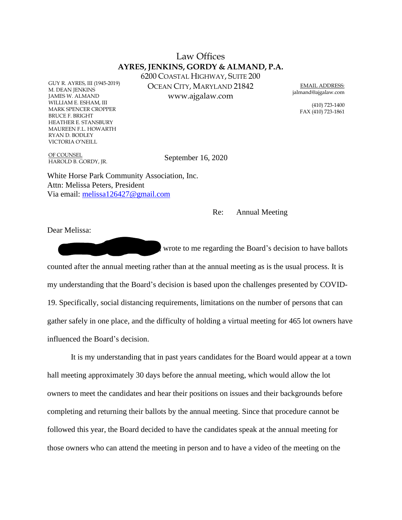## Law Offices **AYRES, JENKINS, GORDY & ALMAND, P.A.**

6200 COASTAL HIGHWAY, SUITE 200 OCEAN CITY, MARYLAND 21842 www.ajgalaw.com

EMAIL ADDRESS: jalmand@ajgalaw.com

> (410) 723-1400 FAX (410) 723-1861

OF COUNSEL HAROLD B. GORDY, JR.

GUY R. AYRES, III (1945-2019)

M. DEAN JENKINS JAMES W. ALMAND WILLIAM E. ESHAM, III MARK SPENCER CROPPER

BRUCE F. BRIGHT HEATHER E. STANSBURY MAUREEN F.L. HOWARTH

RYAN D. BODLEY VICTORIA O'NEILL

September 16, 2020

White Horse Park Community Association, Inc. Attn: Melissa Peters, President Via email: melissa126427@gmail.com

Re: Annual Meeting

Dear Melissa:

wrote to me regarding the Board's decision to have ballots counted after the annual meeting rather than at the annual meeting as is the usual process. It is my understanding that the Board's decision is based upon the challenges presented by COVID-19. Specifically, social distancing requirements, limitations on the number of persons that can gather safely in one place, and the difficulty of holding a virtual meeting for 465 lot owners have influenced the Board's decision.

It is my understanding that in past years candidates for the Board would appear at a town hall meeting approximately 30 days before the annual meeting, which would allow the lot owners to meet the candidates and hear their positions on issues and their backgrounds before completing and returning their ballots by the annual meeting. Since that procedure cannot be followed this year, the Board decided to have the candidates speak at the annual meeting for those owners who can attend the meeting in person and to have a video of the meeting on the